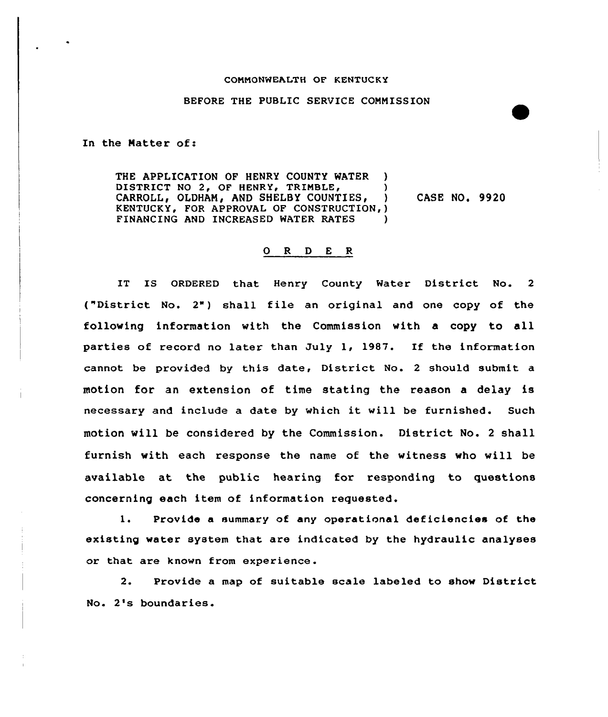## COMMONWEALTH OF KENTUCKY

## BEFORE THE PUBLIC SERVICE COMMISSION

In the Matter of:

THE APPLICATION OF HENRY COUNTY WATER ) DISTRICT NO 2, OF HENRY, TRIMBLE, (1998)<br>CARROLL, OLDHAM, AND SHELBY COUNTIES, (2001) CARROLL, OLDHAM, AND SHELBY COUNTIES, KENTUCKY, FOR APPROVAL OF CONSTRUCTION,) FINANCING AND INCREASED WATER RATES CASE NO. 9920

## 0 <sup>R</sup> <sup>D</sup> <sup>E</sup> <sup>R</sup>

IT IS ORDERED that Henry County Water District No. <sup>2</sup> ("District No. 2") shall file an original and one copy of the following information with the Commission with a copy to all parties of record no later than July 1, 1987. If the information cannot be provided by this date, District No. <sup>2</sup> should submit a motion for an extension of time stating the reason a delay is necessary and include <sup>a</sup> date by which it will be furnished. Such motion will be considered by the Commission. District No. <sup>2</sup> shall furnish with each response the name of the witness who will be available at the public hearing for responding to questions concerning each item of information requested.

1. Provide <sup>a</sup> summary of any operational deficiencies of the existing water system that are indicated by the hydraulic analyses or that are known from experience.

2. Provide a map of suitable scale labeled to show District No. 2's boundaries.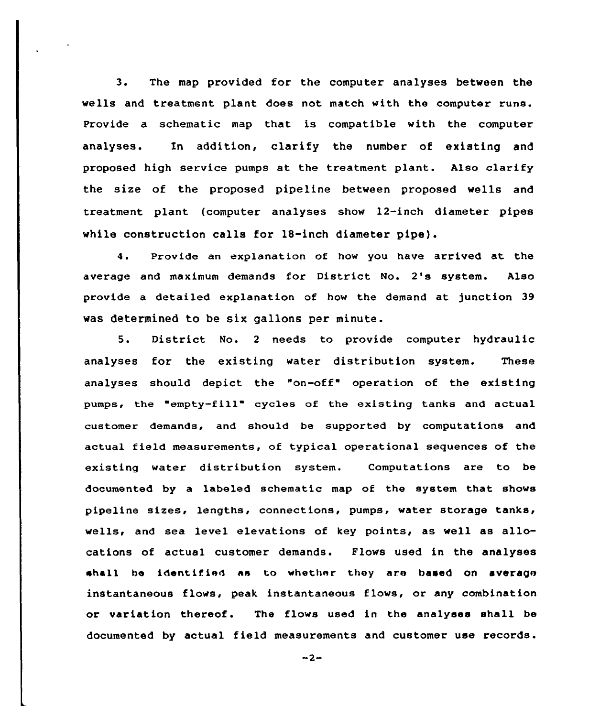3. The map provided for the computer analyses between the wells and treatment plant does not match with the computer runs. Provide a schematic map that is compatible with the computer analyses. Xn addition, clarify the number of existing and proposed high service pumps at the treatment plant. Also clarify the size of the proposed pipeline between proposed wells and treatment plant (computer analyses show 12-inch diameter pipes while construction calls for 18-inch diameter pipe).

4. Provide an explanation of how you have arrived at the average and maximum demands for District No. 2's system. Also provide a detailed explanation of how the demand at junction 39 was determined to be six gallons per minute.

5. District No. <sup>2</sup> needs to provide computer hydraulic analyses for the existing water distribution system. These analyses should depict the "on-off" operation of the existing pumps, the empty-fill" cycles of the existing tanks and actual customer demands, and should be supported by computations and actual field measurements, of typical operational sequences of the existing water distribution system. Computations are to be documented by a labeled schematic map of the system that shows pipeline sizes, lengths, connections, pumps, water storage tanks, wells, and sea level elevations of key points, as well as allocations of actual customer demands. Flows used in the analyses shall be identified as to whether they are based on average instantaneous flows, peak instantaneous flows, or any combination or variation thereof. The flows used in the analyses shall be documented by actual field measurements and customer use records.

 $-2-$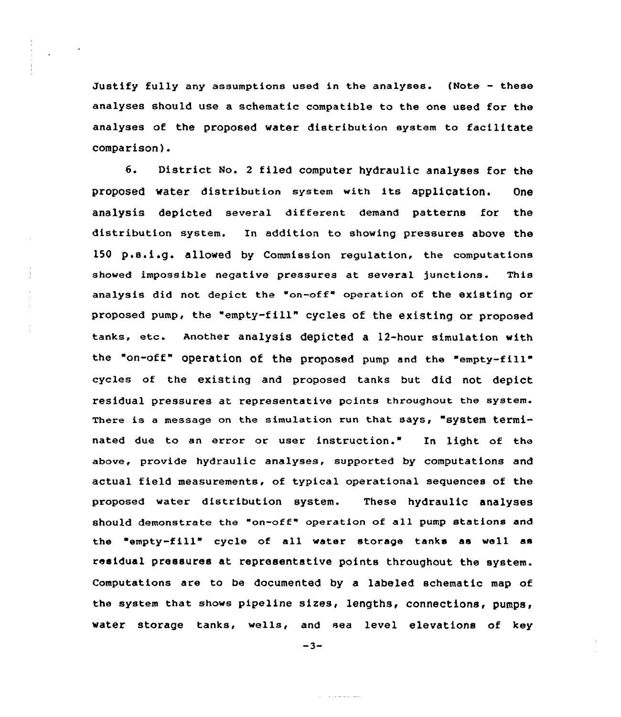Justify fully any assumptions used in the analyses. (Note — these analyses should use a schematic compatible to the one used for the analyses of the proposed water distribution system to facilitate comparison}.

6. District No. <sup>2</sup> filed computer hydraulic analyses for the proposed water distribution system with its application. One analysis depicted several different demand patterns for the distribution system. In addition to showing pressures above the <sup>150</sup> p.s.i.g. allowed by Commission regulation, the computations showed impossible negative pressures at several junctions. This analysis did not depict the "on-off" operation of the existing or proposed pump, the "empty-fill" cycles of the existing or proposed tanks, etc. Another analysis depicted <sup>a</sup> 12-hour simulation with the "on-off" operation of the proposed pump and the "empty-fill" cycles of the existing and proposed tanks but did not depict residual pressures at representative points throughout the system. There is a message on the simulation run that says, "system terminated due to an error or user instruction." In light of the above, provide hydraulic analyses, supported by computations and actual field measurements, of typical operational sequences of the proposed water distribution system. These hydraulic analyses should demonstrate the "on-off" operation of all pump stations and the "empty-fill" cycle of all water storage tanks as well as residual pressures at representative points throughout the system. Computations are to be documented by a labeled schematic map of the system that shows pipeline sizes, lengths, connections, pumps, water storage tanks, wells, and sea level elevations of key

÷

 $-3-$ 

<u>a sa tanàna ao </u>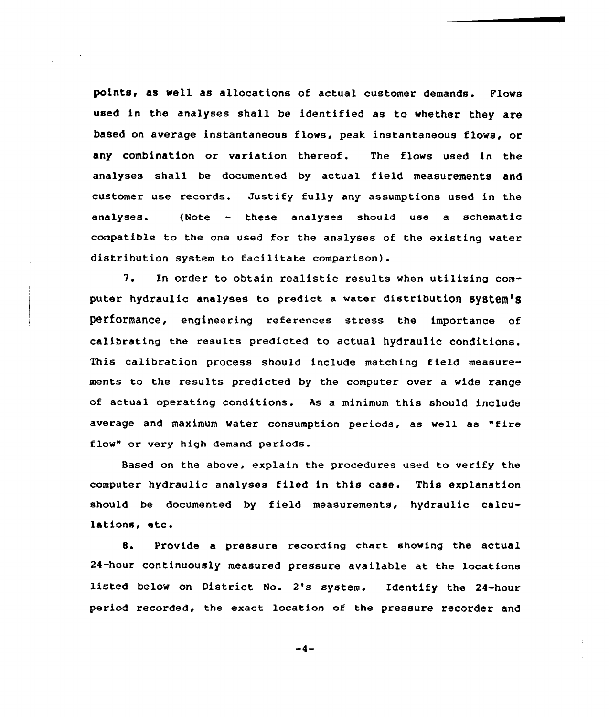points, as well as allocations of actual customer demands. Flows used in the analyses shall be identified as to whether they are based on average instantaneous flows, peak instantaneous flows, or any combination or variation thereof. The flows used in the analyses shall be documented by actual field measurements and customer use records. Justify fully any assumptions used in the analyses. (Note - these analyses should use <sup>a</sup> schematic compatible to the one used for the analyses of the existing water distribution system to facilitate comparison).

7. En order to obtain realistic results when utilizing computer hydraulic analyses to predict a water distribution system's performance, engineering references stress the importance of calibrating the results predicted to actual hydraulic conditions. This calibration process should include matching field measurements to the results predicted by the computer over a wide range of actual operating conditions. As a minimum this should include average and maximum water consumption periods, as well as "fire flow" or very high demand periods.

Based on the above, explain the procedures used to verify the computer hydraulic analyses filed in this case. This explanation should be documented by field measurements, hydraulic calculations, etc.

8. Provide a pressure recording chart showing the actual 24-hour continuously measured pressure available at the locations listed below on District No. 2's system. Identify the 24-hour period recorded, the exact location of the pressure recorder and

 $-4-$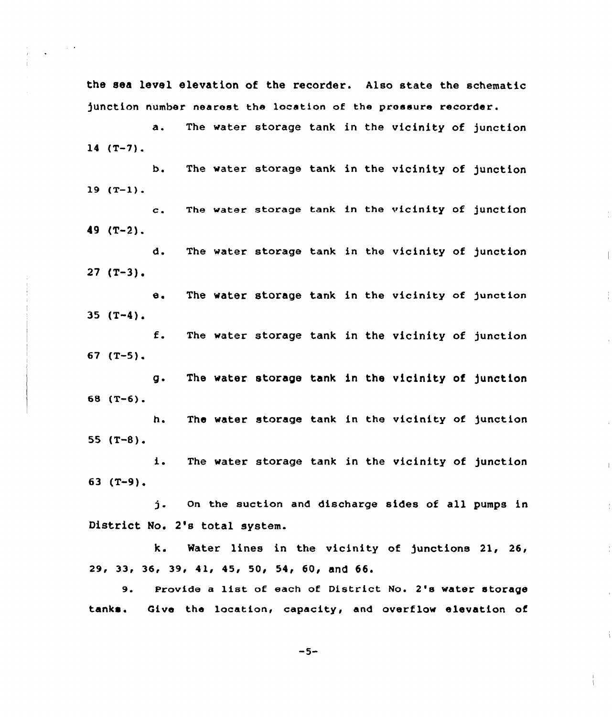the sea level elevation of the recorder. Also state the schematic junction number nearest the location of the pressure recorder.

 $\sim 10^{-10}$ 

a. The water storage tank in the vicinity of junction  $14$   $(T-7)$ .

b. The water storage tank in the vicinity of junction  $19 (T-1)$ .

c. The water storage tank in the vicinity of junction  $49$  (T-2).

d. The water storage tank in the vicinity of junction  $27$  (T-3).

 $\overline{\phantom{a}}$ 

÷

 $\overline{1}$ 

e. The water storage tank in the vicinity of junction  $35$   $(T-4)$ .

f. The water storage tank in the vicinity of junction 67 (T-5).

g. The water storage tank in the vicinity of junction 68 (T-6}.

h. The water storage tank in the vicinity of junction 55  $(T-8)$ .

i. The water storage tank in the vicinity of junction 63 (T-9).

j. on the suction and discharge sides of all pumps in District No. 2's total system.

k. Water lines in the vicinity of junctions 21, 26, 29, 33, 36, 39, 41, 45, 50, 54< 60, and 66.

9. Provide a list of each of District No. 2's water storage tanks. Give the location, capacity, and overflow elevation of

 $-5-$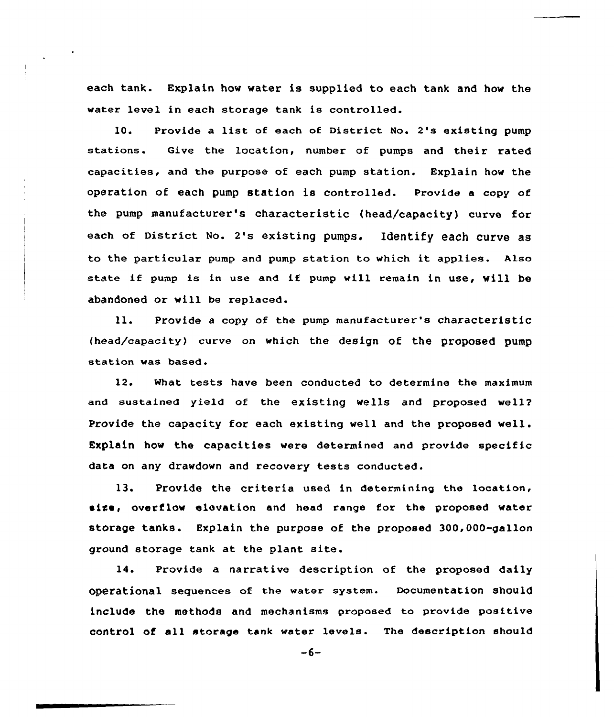each tank. Explain how water is supplied to each tank and how the water level in each storage tank is controlled.

10. Provide <sup>a</sup> list of each of District No. 2's existing pump stations. Give the location, number of pumps and their rated capacities, and the purpose of each pump station. Explain how the operation of each pump station is controlled. Provide a copy of the pump manufacturer's characteristic (head/capacity) curve for each of District No. 2' Identify each curve as to the particular pump and pump station to which it applies. Also state if pump is in use and if pump will remain in use, will be abandoned or will be replaced.

ll. Provide <sup>a</sup> copy of the pump manufacturer's characteristic (head/capacity) curve on which the design of the proposed pump station was based.

12. What tests have been conducted to determine the maximum and sustained yield of the existing wells and proposed well? Provide the capacity for each existing well and the proposed well. Explain how the capacities were determined and provide specific data on any drawdown and recovery tests conducted.

13. Provide the criteria used in determining the location, size, overflow elevation and head range for the proposed water storage tanks. Explain the purpose of the proposed 300,000-gallon ground storage tank at the plant site.

14. Provide a narrative description of the proposed daily operational sequences of the water system. Documentation should include the methods and mechanisms proposed to provide positive control of all storage tank water levels. The description should

 $-6-$